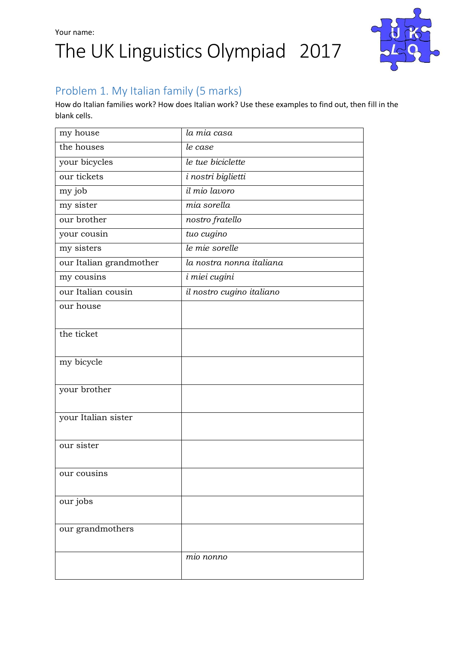## Your name: The UK Linguistics Olympiad 2017



### Problem 1. My Italian family (5 marks)

How do Italian families work? How does Italian work? Use these examples to find out, then fill in the blank cells.

| my house                | la mia casa               |
|-------------------------|---------------------------|
| the houses              | le case                   |
| your bicycles           | le tue biciclette         |
| our tickets             | i nostri biglietti        |
| my job                  | il mio lavoro             |
| my sister               | mia sorella               |
| our brother             | nostro fratello           |
| your cousin             | tuo cugino                |
| my sisters              | le mie sorelle            |
| our Italian grandmother | la nostra nonna italiana  |
| my cousins              | i miei cugini             |
| our Italian cousin      | il nostro cugino italiano |
| our house               |                           |
|                         |                           |
| the ticket              |                           |
|                         |                           |
| my bicycle              |                           |
|                         |                           |
| your brother            |                           |
|                         |                           |
| your Italian sister     |                           |
|                         |                           |
| our sister              |                           |
|                         |                           |
| our cousins             |                           |
|                         |                           |
| our jobs                |                           |
|                         |                           |
| our grandmothers        |                           |
|                         |                           |
|                         | mio nonno                 |
|                         |                           |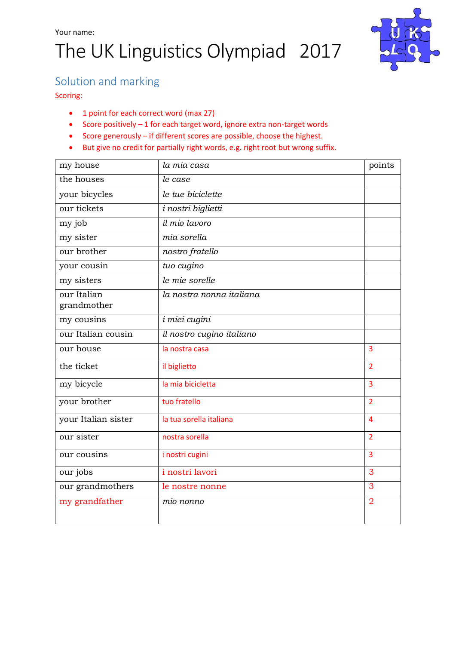# The UK Linguistics Olympiad 2017



#### Solution and marking

Scoring:

- 1 point for each correct word (max 27)
- $\bullet$  Score positively  $-1$  for each target word, ignore extra non-target words
- Score generously if different scores are possible, choose the highest.
- But give no credit for partially right words, e.g. right root but wrong suffix.

| my house                   | la mia casa               | points         |
|----------------------------|---------------------------|----------------|
| the houses                 | le case                   |                |
| your bicycles              | le tue biciclette         |                |
| our tickets                | i nostri biglietti        |                |
| my job                     | il mio lavoro             |                |
| my sister                  | mia sorella               |                |
| our brother                | nostro fratello           |                |
| your cousin                | tuo cugino                |                |
| my sisters                 | le mie sorelle            |                |
| our Italian<br>grandmother | la nostra nonna italiana  |                |
| my cousins                 | i miei cugini             |                |
| our Italian cousin         | il nostro cugino italiano |                |
| our house                  | la nostra casa            | 3              |
| the ticket                 | il biglietto              | $\overline{2}$ |
| my bicycle                 | la mia bicicletta         | 3              |
| your brother               | tuo fratello              | $\overline{2}$ |
| your Italian sister        | la tua sorella italiana   | $\overline{4}$ |
| our sister                 | nostra sorella            | $\overline{2}$ |
| our cousins                | i nostri cugini           | 3              |
| our jobs                   | i nostri lavori           | 3              |
| our grandmothers           | le nostre nonne           | 3              |
| my grandfather             | mio nonno                 | $\overline{2}$ |
|                            |                           |                |